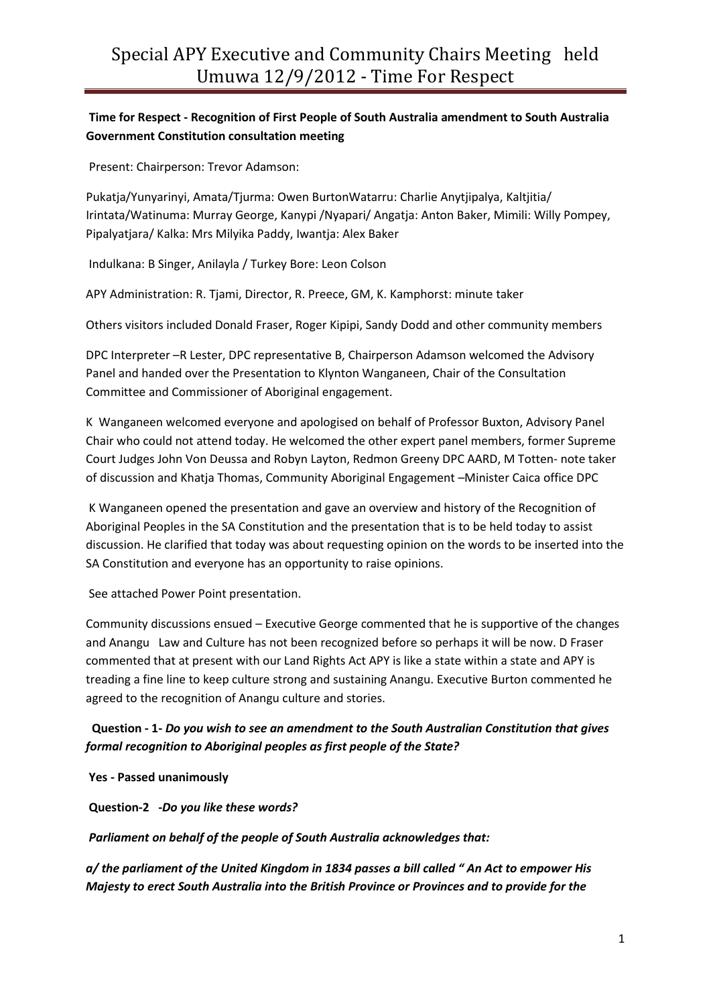## **Time for Respect - Recognition of First People of South Australia amendment to South Australia Government Constitution consultation meeting**

Present: Chairperson: Trevor Adamson:

Pukatja/Yunyarinyi, Amata/Tjurma: Owen BurtonWatarru: Charlie Anytjipalya, Kaltjitia/ Irintata/Watinuma: Murray George, Kanypi /Nyapari/ Angatja: Anton Baker, Mimili: Willy Pompey, Pipalyatjara/ Kalka: Mrs Milyika Paddy, Iwantja: Alex Baker

Indulkana: B Singer, Anilayla / Turkey Bore: Leon Colson

APY Administration: R. Tjami, Director, R. Preece, GM, K. Kamphorst: minute taker

Others visitors included Donald Fraser, Roger Kipipi, Sandy Dodd and other community members

DPC Interpreter –R Lester, DPC representative B, Chairperson Adamson welcomed the Advisory Panel and handed over the Presentation to Klynton Wanganeen, Chair of the Consultation Committee and Commissioner of Aboriginal engagement.

K Wanganeen welcomed everyone and apologised on behalf of Professor Buxton, Advisory Panel Chair who could not attend today. He welcomed the other expert panel members, former Supreme Court Judges John Von Deussa and Robyn Layton, Redmon Greeny DPC AARD, M Totten- note taker of discussion and Khatja Thomas, Community Aboriginal Engagement –Minister Caica office DPC

K Wanganeen opened the presentation and gave an overview and history of the Recognition of Aboriginal Peoples in the SA Constitution and the presentation that is to be held today to assist discussion. He clarified that today was about requesting opinion on the words to be inserted into the SA Constitution and everyone has an opportunity to raise opinions.

See attached Power Point presentation.

Community discussions ensued – Executive George commented that he is supportive of the changes and Anangu Law and Culture has not been recognized before so perhaps it will be now. D Fraser commented that at present with our Land Rights Act APY is like a state within a state and APY is treading a fine line to keep culture strong and sustaining Anangu. Executive Burton commented he agreed to the recognition of Anangu culture and stories.

## **Question - 1-** *Do you wish to see an amendment to the South Australian Constitution that gives formal recognition to Aboriginal peoples as first people of the State?*

**Yes - Passed unanimously**

**Question-2 -***Do you like these words?*

*Parliament on behalf of the people of South Australia acknowledges that:*

*a/ the parliament of the United Kingdom in 1834 passes a bill called " An Act to empower His Majesty to erect South Australia into the British Province or Provinces and to provide for the*